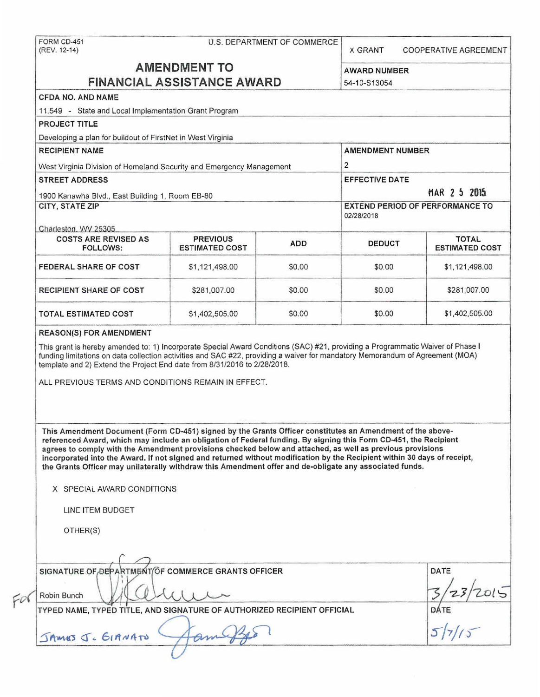FORM CD-451 U.S. DEPARTMENT OF COMMERCE (REV. 12-14) X GRANT COOPERATIVE AGREEMENT **AMENDMENT TO**  AWARD NUMBER **FINANCIAL ASSISTANCE AWARD**  54-10-S13054 CFDA NO. AND NAME 11.549 - State and Local Implementation Grant Program PROJECT TITLE Developing a plan for buildout of FirstNet in West Virginia RECIPIENT NAME AMENDMENT NUMBER 2 West Virginia Division of Homeland Security and Emergency Management STREET ADDRESS EFFECTIVE DATE  $MAR$  2 5 2015 1900 Kanawha Blvd., East Building 1, Room EB-80 EXTEND PERIOD OF PERFORMANCE TO CITY, STATE ZIP 02/28/2018 Charleston, VV 25305 COSTS ARE REVISED AS PREVIOUS TOTAL **DEDUCT** ADD FOLLOWS: ESTIMATED COST ESTIMATED COST FEDERAL SHARE OF COST \$0.00 \$0.00 \$1,121,498.00 \$1,121,498.00 RECIPIENT SHARE OF COST \$281,007.00 \$0.00 \$0.00 \$281 ,007.00 TOTAL ESTIMATED COST \$1,402,505.00 \$0.00 \$0.00 \$1,402,505.00 REASON(S) FOR AMENDMENT This grant is hereby amended to: 1) Incorporate Special Award Conditions (SAC) #21, providing a Programmatic Waiver of Phase I funding limitations on data collection activities and SAC #22, providing a waiver for mandatory Memorandum of Agreement (MOA) template and 2) Extend the Project End date from 8/31/2016 to 2/28/2018. ALL PREVIOUS TERMS AND CONDITIONS REMAIN IN EFFECT. This Amendment Document (Form CD-451) signed by the Grants Officer constitutes an Amendment of the abovereferenced Award, which may include an obligation of Federal funding. By signing this Form CD-451, the Recipient agrees to comply with the Amendment provisions checked below and attached, as well as previous provisions incorporated into the Award. If not signed and returned without modification by the Recipient within 30 days of receipt, the Grants Officer may unilaterally withdraw this Amendment offer and de-obligate any associated funds. X SPECIAL AWARD CONDITIONS LINE ITEM BUDGET OTHER(S) SIGNATURE OF DEPARTMENT/OF COMMERCE GRANTS OFFICER DATE  $3/23/2015$ <br>DATE *<sup>f</sup> P(* Robin Bunch *\ \_VJ(* ~\.A.-A-- TYPED NAME, TYPED TITLE, AND SIGNATURE OF AUTHORIZED RECIPIENT OFFICIAL

|                                                                                                       | JAMES J. GIANATO |                                                  |
|-------------------------------------------------------------------------------------------------------|------------------|--------------------------------------------------|
| District the commercial control of the control of the COVID-1999 control of the COVID-1999 control of |                  | <b><i>PEAN'S COUNTY</i></b><br><b>CONTRACTOR</b> |